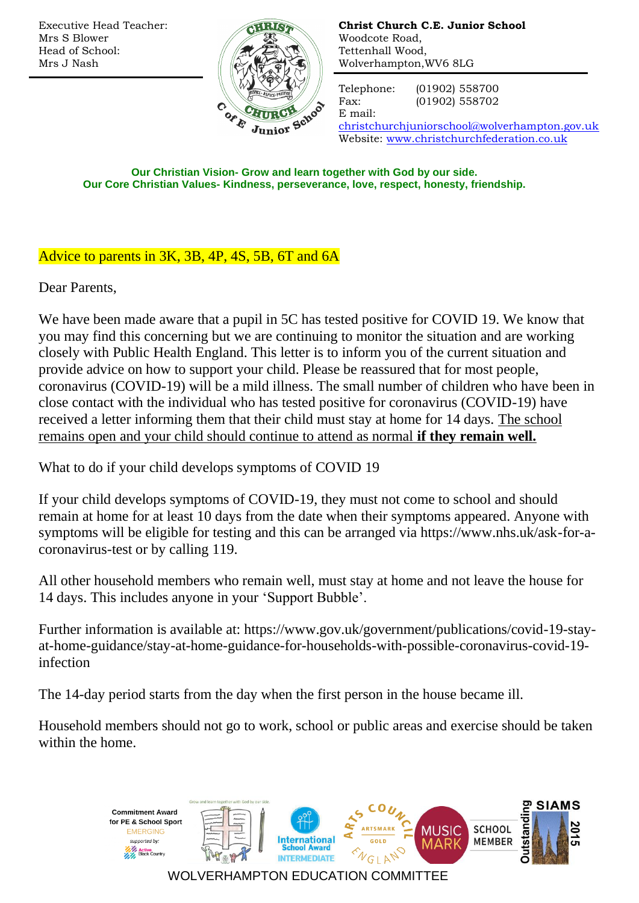Executive Head Teacher: Mrs S Blower Head of School: Mrs J Nash



**Christ Church C.E. Junior School** Woodcote Road, Tettenhall Wood, Wolverhampton,WV6 8LG

Telephone: (01902) 558700 Fax: (01902) 558702

E mail:

[christchurchjuniorschool@wolverhampton.gov.uk](mailto:christchurchjuniorschool@wolverhampton.gov.uk) Website: [www.christchurchfederation.co.uk](http://www.christchurchfederation.co.uk/)

**Our Christian Vision- Grow and learn together with God by our side. Our Core Christian Values- Kindness, perseverance, love, respect, honesty, friendship.**

## Advice to parents in 3K, 3B, 4P, 4S, 5B, 6T and 6A

Dear Parents,

We have been made aware that a pupil in 5C has tested positive for COVID 19. We know that you may find this concerning but we are continuing to monitor the situation and are working closely with Public Health England. This letter is to inform you of the current situation and provide advice on how to support your child. Please be reassured that for most people, coronavirus (COVID-19) will be a mild illness. The small number of children who have been in close contact with the individual who has tested positive for coronavirus (COVID-19) have received a letter informing them that their child must stay at home for 14 days. The school remains open and your child should continue to attend as normal **if they remain well.**

What to do if your child develops symptoms of COVID 19

If your child develops symptoms of COVID-19, they must not come to school and should remain at home for at least 10 days from the date when their symptoms appeared. Anyone with symptoms will be eligible for testing and this can be arranged via https://www.nhs.uk/ask-for-acoronavirus-test or by calling 119.

All other household members who remain well, must stay at home and not leave the house for 14 days. This includes anyone in your 'Support Bubble'.

Further information is available at: https://www.gov.uk/government/publications/covid-19-stayat-home-guidance/stay-at-home-guidance-for-households-with-possible-coronavirus-covid-19 infection

The 14-day period starts from the day when the first person in the house became ill.

Household members should not go to work, school or public areas and exercise should be taken within the home.